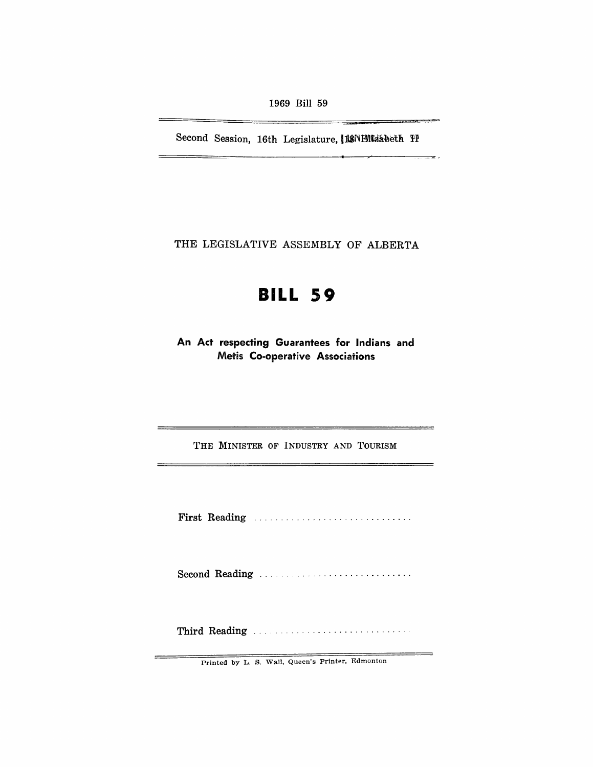1969 Bill 59

Second Session, 16th Legislature, ISNENLIabeth IP

÷.

THE LEGISLATIVE ASSEMBLY OF ALBERTA

# **BILL 59**

**An Act respecting Guarantees for Indians and Metis Co-operative Associations** 

THE MINISTER OF INDUSTRY AND TOURISM

First Reading ............................. .

Second Reading ...................................

Third Reading .,. . ...................... .

Printed by L. S. Wall, Queen's Printer, Edmonton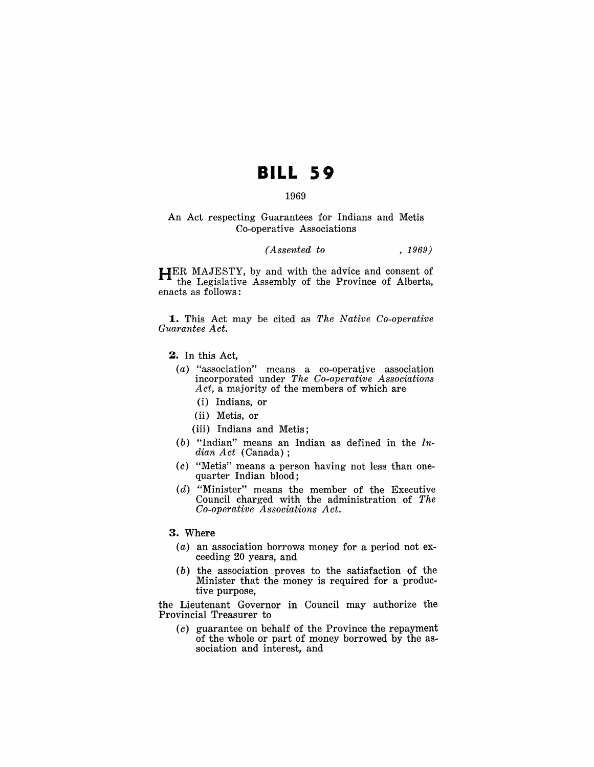## **BILL S9**

#### 1969

An Act respecting Guarantees for Indians and Metis Co-operative Associations

### *(Assented to* , 1969)

HER MAJESTY, by and with the advice and consent of the Legislative Assembly of the Province of Alberta, enacts as follows:

**1.** This Act may be cited as *The Native Co-operative Guarantee A ct.* 

- 2. In this Act,
	- (a) "association" means a co-operative association incorporated under *The Co-operative Associations Act,* a majority of the members of which are
		- (i) Indians, or
		- (ii) Metis, or
		- (iii) Indians and Metis;
	- (b) "Indian" means an Indian as defined in the  $In$ *dian Act* (Canada) ;
	- (c) "Metis" means a person having not less than onequarter Indian blood;
	- (d) "Minister" means the member of the Executive Council charged with the administration of *The Co-operative Associations Act.*

#### 3. Where

- (a) an association borrows money for a period not exceeding 20 years, and
- (b) the association proves to the satisfaction of the Minister that the money is required for a productive purpose,

the Lieutenant Governor in Council may authorize the Provincial Treasurer to

(c) guarantee on behalf of the Province the repayment of the whole or part of money borrowed by the association and interest, and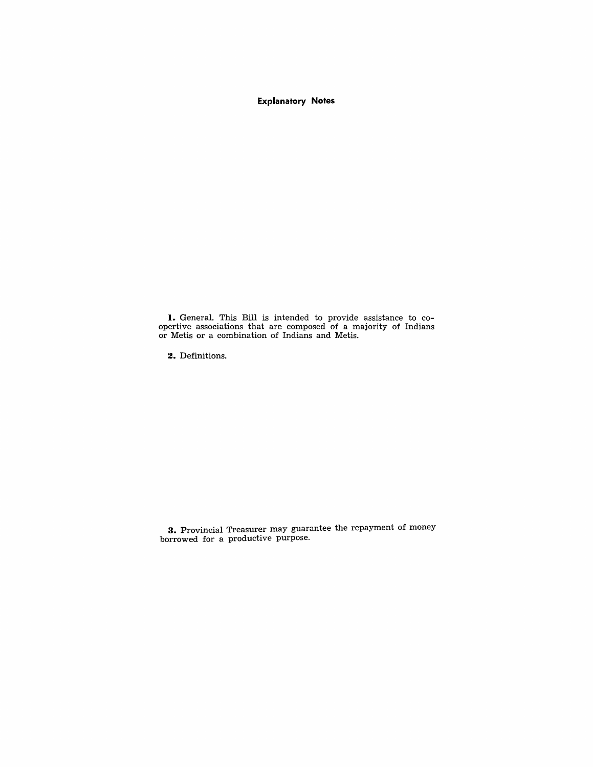**Explanatory Notes** 

**I.** General. This Bill is intended to provide assistance to coopertive associations that are composed of a majority of Indians or Metis or a combination of Indians and Metis.

**2.** Definitions.

**3.** Provincial Treasurer may guarantee the repayment of money borrowed for a productive purpose.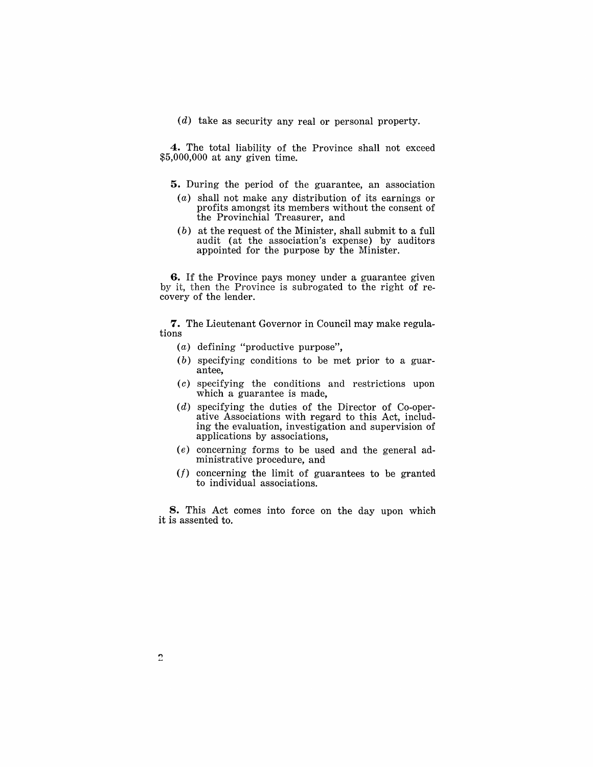(d) take as security any real or personal property.

4. The total liability of the Province shall not exceed \$5,000,000 at any given time.

- 5. During the period of the guarantee, an association
- (a) shall not make any distribution of its earnings or profits amongst its members without the consent of the Provinchial Treasurer, and
- (b) at the request of the Minister, shall submit to a full audit (at the association's expense) by auditors appointed for the purpose by the Minister.

6. If the Province pays money under a guarantee given by it, then the Province is subrogated to the right of recovery of the lender.

7. The Lieutenant Governor in Council may make regulations

- (a) defining "productive purpose",
- (b) specifying conditions to be met prior to a guarantee,
- (c) specifying the conditions and restrictions upon which a guarantee is made,
- $(d)$  specifying the duties of the Director of Co-operative Associations with regard to this Act, including the evaluation, investigation and supervision of applications by associations,
- (e) concerning forms to be used and the general administrative procedure, and
- *(f)* concerning the limit of guarantees to be granted to individual associations.

8. This Act comes into force on the day upon which it is assented to.